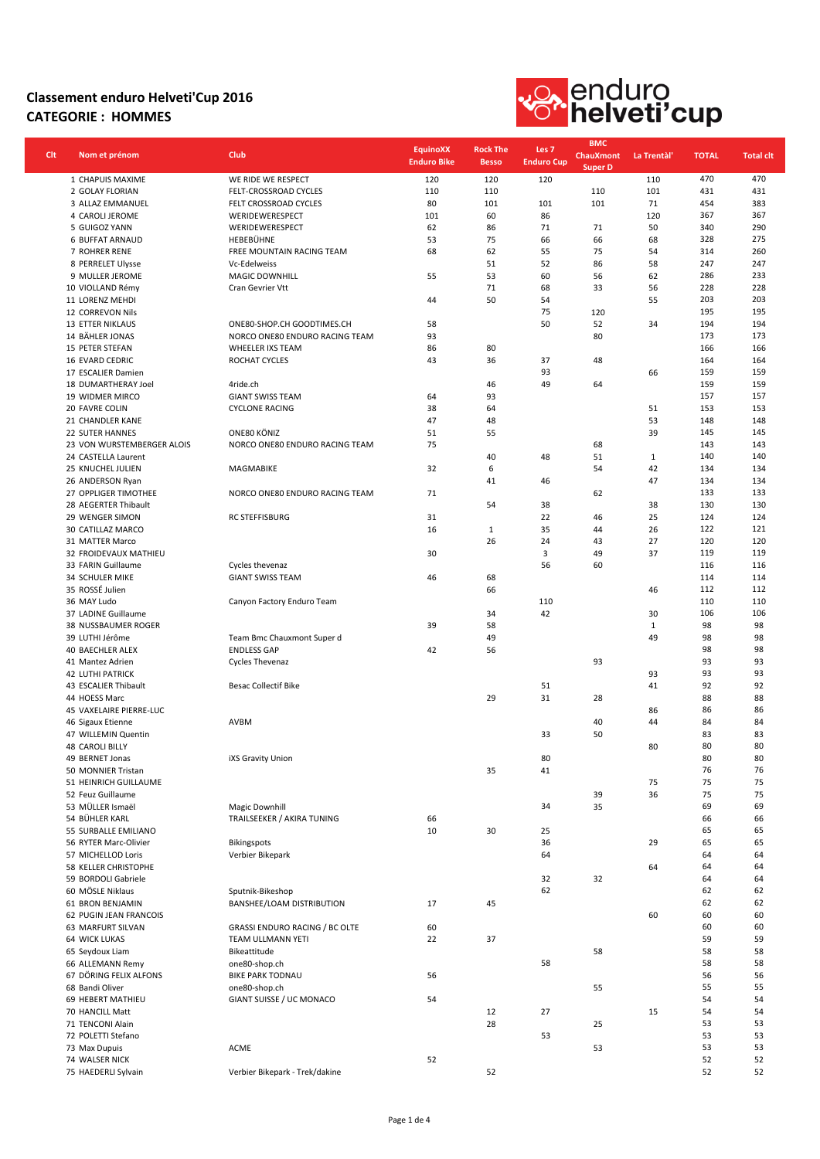

| Clt | Nom et prénom              | <b>Club</b>                    | <b>EquinoXX</b><br><b>Enduro Bike</b> | <b>Rock The</b><br><b>Besso</b> | Les <sub>7</sub><br><b>Enduro Cup</b> | <b>BMC</b><br><b>ChauXmont</b><br><b>Super D</b> | La Trentàl'  | <b>TOTAL</b> | <b>Total clt</b> |
|-----|----------------------------|--------------------------------|---------------------------------------|---------------------------------|---------------------------------------|--------------------------------------------------|--------------|--------------|------------------|
|     | 1 CHAPUIS MAXIME           | WE RIDE WE RESPECT             | 120                                   | 120                             | 120                                   |                                                  | 110          | 470          | 470              |
|     | 2 GOLAY FLORIAN            | FELT-CROSSROAD CYCLES          | 110                                   | 110                             |                                       | 110                                              | 101          | 431          | 431              |
|     | 3 ALLAZ EMMANUEL           | FELT CROSSROAD CYCLES          | 80                                    | 101                             | 101                                   | 101                                              | 71           | 454          | 383              |
|     | 4 CAROLI JEROME            | WERIDEWERESPECT                | 101                                   | 60                              | 86                                    |                                                  | 120          | 367          | 367              |
|     | 5 GUIGOZ YANN              | WERIDEWERESPECT                | 62                                    | 86                              | 71                                    | 71                                               | 50           | 340          | 290              |
|     | 6 BUFFAT ARNAUD            | HEBEBÜHNE                      | 53                                    | 75                              | 66                                    | 66                                               | 68           | 328          | 275              |
|     | 7 ROHRER RENE              | FREE MOUNTAIN RACING TEAM      | 68                                    | 62                              | 55                                    | 75                                               | 54           | 314          | 260              |
|     | 8 PERRELET Ulysse          | Vc-Edelweiss                   |                                       | 51                              | 52                                    | 86                                               | 58           | 247          | 247              |
|     | 9 MULLER JEROME            | <b>MAGIC DOWNHILL</b>          | 55                                    | 53                              | 60                                    | 56                                               | 62           | 286          | 233              |
|     | 10 VIOLLAND Rémy           | Cran Gevrier Vtt               |                                       | 71                              | 68                                    | 33                                               | 56           | 228          | 228              |
|     | 11 LORENZ MEHDI            |                                | 44                                    | 50                              | 54                                    |                                                  | 55           | 203          | 203              |
|     | 12 CORREVON Nils           |                                |                                       |                                 | 75                                    | 120                                              |              | 195          | 195              |
|     | 13 ETTER NIKLAUS           | ONE80-SHOP.CH GOODTIMES.CH     | 58                                    |                                 | 50                                    | 52                                               | 34           | 194          | 194              |
|     | 14 BÄHLER JONAS            | NORCO ONE80 ENDURO RACING TEAM | 93                                    |                                 |                                       | 80                                               |              | 173          | 173              |
|     | 15 PETER STEFAN            | WHEELER IXS TEAM               | 86                                    | 80                              |                                       |                                                  |              | 166          | 166              |
|     | <b>16 EVARD CEDRIC</b>     | ROCHAT CYCLES                  | 43                                    | 36                              | 37                                    | 48                                               |              | 164          | 164              |
|     | 17 ESCALIER Damien         |                                |                                       |                                 | 93                                    |                                                  | 66           | 159          | 159              |
|     | 18 DUMARTHERAY Joel        | 4ride.ch                       |                                       | 46                              | 49                                    | 64                                               |              | 159          | 159              |
|     | 19 WIDMER MIRCO            | <b>GIANT SWISS TEAM</b>        | 64                                    | 93                              |                                       |                                                  |              | 157          | 157              |
|     | 20 FAVRE COLIN             | <b>CYCLONE RACING</b>          | 38                                    | 64                              |                                       |                                                  | 51           | 153          | 153              |
|     | 21 CHANDLER KANE           |                                | 47                                    | 48                              |                                       |                                                  | 53           | 148          | 148              |
|     | <b>22 SUTER HANNES</b>     | ONE80 KÖNIZ                    | 51                                    | 55                              |                                       |                                                  | 39           | 145          | 145              |
|     | 23 VON WURSTEMBERGER ALOIS | NORCO ONE80 ENDURO RACING TEAM | 75                                    |                                 |                                       | 68                                               |              | 143          | 143              |
|     | 24 CASTELLA Laurent        |                                |                                       | 40                              | 48                                    | 51                                               | $\mathbf{1}$ | 140          | 140              |
|     | 25 KNUCHEL JULIEN          | MAGMABIKE                      | 32                                    | 6                               |                                       | 54                                               | 42           | 134          | 134              |
|     | 26 ANDERSON Ryan           |                                |                                       | 41                              | 46                                    |                                                  | 47           | 134          | 134              |
|     | 27 OPPLIGER TIMOTHEE       | NORCO ONE80 ENDURO RACING TEAM | 71                                    |                                 |                                       | 62                                               |              | 133          | 133              |
|     | 28 AEGERTER Thibault       |                                |                                       | 54                              | 38                                    |                                                  | 38           | 130          | 130              |
|     | <b>29 WENGER SIMON</b>     | <b>RC STEFFISBURG</b>          |                                       |                                 | 22                                    |                                                  | 25           | 124          | 124              |
|     |                            |                                | 31                                    |                                 |                                       | 46                                               |              |              |                  |
|     | 30 CATILLAZ MARCO          |                                | 16                                    | $\mathbf{1}$                    | 35                                    | 44                                               | 26           | 122          | 121              |
|     | 31 MATTER Marco            |                                |                                       | 26                              | 24                                    | 43                                               | 27           | 120          | 120              |
|     | 32 FROIDEVAUX MATHIEU      |                                | 30                                    |                                 | 3                                     | 49                                               | 37           | 119          | 119              |
|     | 33 FARIN Guillaume         | Cycles thevenaz                |                                       |                                 | 56                                    | 60                                               |              | 116          | 116              |
|     | 34 SCHULER MIKE            | <b>GIANT SWISS TEAM</b>        | 46                                    | 68                              |                                       |                                                  |              | 114          | 114              |
|     | 35 ROSSÉ Julien            |                                |                                       | 66                              |                                       |                                                  | 46           | 112          | 112              |
|     | 36 MAY Ludo                | Canyon Factory Enduro Team     |                                       |                                 | 110                                   |                                                  |              | 110          | 110              |
|     | 37 LADINE Guillaume        |                                |                                       | 34                              | 42                                    |                                                  | 30           | 106          | 106              |
|     | 38 NUSSBAUMER ROGER        |                                | 39                                    | 58                              |                                       |                                                  | $\mathbf{1}$ | 98           | 98               |
|     | 39 LUTHI Jérôme            | Team Bmc Chauxmont Super d     |                                       | 49                              |                                       |                                                  | 49           | 98           | 98               |
|     | 40 BAECHLER ALEX           | <b>ENDLESS GAP</b>             | 42                                    | 56                              |                                       |                                                  |              | 98           | 98               |
|     | 41 Mantez Adrien           | <b>Cycles Thevenaz</b>         |                                       |                                 |                                       | 93                                               |              | 93           | 93               |
|     | <b>42 LUTHI PATRICK</b>    |                                |                                       |                                 |                                       |                                                  | 93           | 93           | 93               |
|     | 43 ESCALIER Thibault       | <b>Besac Collectif Bike</b>    |                                       |                                 | 51                                    |                                                  | 41           | 92           | 92               |
|     | 44 HOESS Marc              |                                |                                       | 29                              | 31                                    | 28                                               |              | 88           | 88               |
|     | 45 VAXELAIRE PIERRE-LUC    |                                |                                       |                                 |                                       |                                                  | 86           | 86           | 86               |
|     | 46 Sigaux Etienne          | <b>AVBM</b>                    |                                       |                                 |                                       | 40                                               | 44           | 84           | 84               |
|     | 47 WILLEMIN Quentin        |                                |                                       |                                 | 33                                    | 50                                               |              | 83           | 83               |
|     | <b>48 CAROLI BILLY</b>     |                                |                                       |                                 |                                       |                                                  | 80           | 80           | 80               |
|     | 49 BERNET Jonas            | <b>iXS Gravity Union</b>       |                                       |                                 | 80                                    |                                                  |              | 80           | 80               |
|     | 50 MONNIER Tristan         |                                |                                       | 35                              | 41                                    |                                                  |              | 76           | 76               |
|     | 51 HEINRICH GUILLAUME      |                                |                                       |                                 |                                       |                                                  | 75           | 75           | 75               |
|     | 52 Feuz Guillaume          |                                |                                       |                                 |                                       | 39                                               | 36           | 75           | 75               |
|     | 53 MÜLLER Ismaël           | Magic Downhill                 |                                       |                                 | 34                                    | 35                                               |              | 69           | 69               |
|     | 54 BÜHLER KARL             | TRAILSEEKER / AKIRA TUNING     | 66                                    |                                 |                                       |                                                  |              | 66           | 66               |
|     | 55 SURBALLE EMILIANO       |                                | 10                                    | 30                              | 25                                    |                                                  |              | 65           | 65               |
|     | 56 RYTER Marc-Olivier      | Bikingspots                    |                                       |                                 | 36                                    |                                                  | 29           | 65           | 65               |
|     | 57 MICHELLOD Loris         | Verbier Bikepark               |                                       |                                 | 64                                    |                                                  |              | 64           | 64               |
|     | 58 KELLER CHRISTOPHE       |                                |                                       |                                 |                                       |                                                  | 64           | 64           | 64               |
|     | 59 BORDOLI Gabriele        |                                |                                       |                                 | 32                                    | 32                                               |              | 64           | 64               |
|     | 60 MÖSLE Niklaus           | Sputnik-Bikeshop               |                                       |                                 | 62                                    |                                                  |              | 62           | 62               |
|     | <b>61 BRON BENJAMIN</b>    | BANSHEE/LOAM DISTRIBUTION      | 17                                    | 45                              |                                       |                                                  |              | 62           | 62               |
|     | 62 PUGIN JEAN FRANCOIS     |                                |                                       |                                 |                                       |                                                  | 60           | 60           | 60               |
|     | 63 MARFURT SILVAN          | GRASSI ENDURO RACING / BC OLTE | 60                                    |                                 |                                       |                                                  |              | 60           |                  |
|     |                            |                                |                                       |                                 |                                       |                                                  |              |              | 60               |
|     | <b>64 WICK LUKAS</b>       | TEAM ULLMANN YETI              | 22                                    | 37                              |                                       |                                                  |              | 59           | 59               |
|     | 65 Seydoux Liam            | Bikeattitude                   |                                       |                                 |                                       | 58                                               |              | 58           | 58               |
|     | 66 ALLEMANN Remy           | one80-shop.ch                  |                                       |                                 | 58                                    |                                                  |              | 58           | 58               |
|     | 67 DÖRING FELIX ALFONS     | <b>BIKE PARK TODNAU</b>        | 56                                    |                                 |                                       |                                                  |              | 56           | 56               |
|     | 68 Bandi Oliver            | one80-shop.ch                  |                                       |                                 |                                       | 55                                               |              | 55           | 55               |
|     | 69 HEBERT MATHIEU          | GIANT SUISSE / UC MONACO       | 54                                    |                                 |                                       |                                                  |              | 54           | 54               |
|     | 70 HANCILL Matt            |                                |                                       | 12                              | 27                                    |                                                  | 15           | 54           | 54               |
|     | 71 TENCONI Alain           |                                |                                       | 28                              |                                       | 25                                               |              | 53           | 53               |
|     | 72 POLETTI Stefano         |                                |                                       |                                 | 53                                    |                                                  |              | 53           | 53               |
|     | 73 Max Dupuis              | <b>ACME</b>                    |                                       |                                 |                                       | 53                                               |              | 53           | 53               |
|     | 74 WALSER NICK             |                                | 52                                    |                                 |                                       |                                                  |              | 52           | 52               |
|     | 75 HAEDERLI Sylvain        | Verbier Bikepark - Trek/dakine |                                       | 52                              |                                       |                                                  |              | 52           | 52               |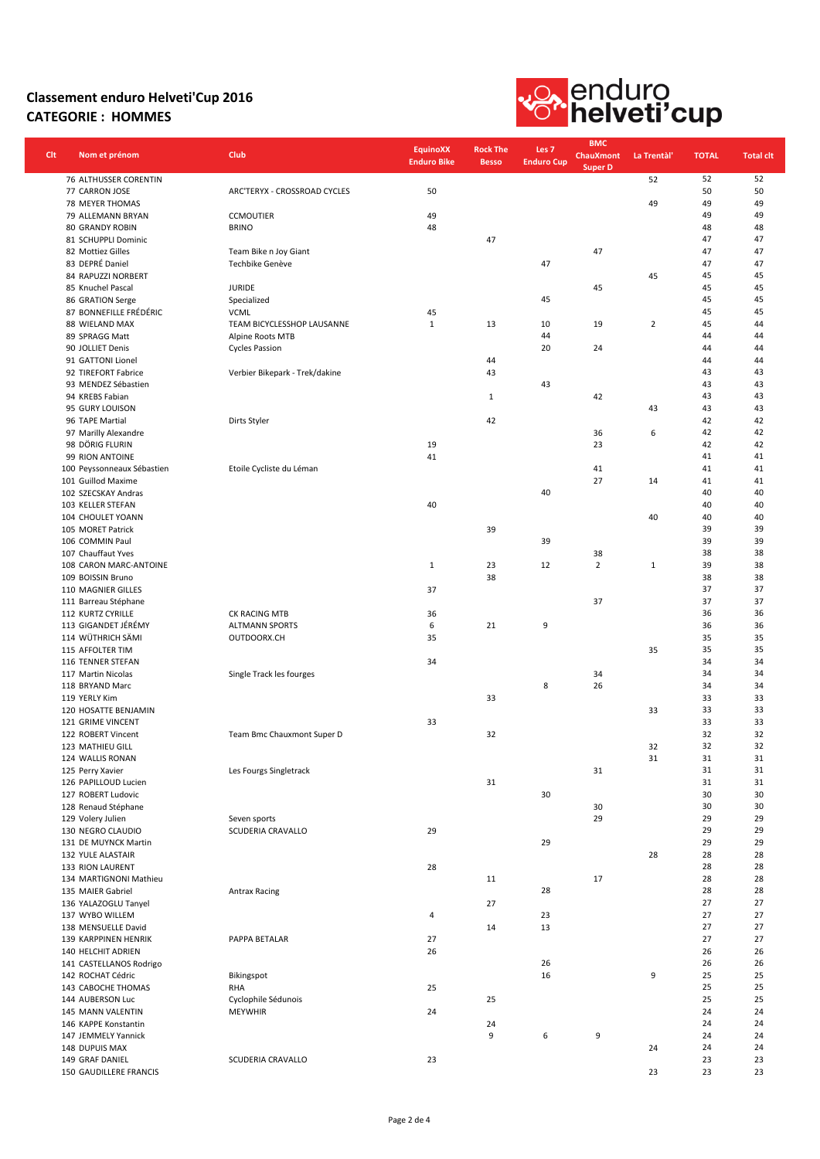

| <b>Clt</b> | Nom et prénom                             | Club                              | <b>EquinoXX</b><br><b>Enduro Bike</b> | <b>Rock The</b><br><b>Besso</b> | Les <sub>7</sub><br><b>Enduro Cup</b> | <b>BMC</b><br><b>ChauXmont</b><br><b>Super D</b> | La Trentàl'    | <b>TOTAL</b> | <b>Total clt</b> |
|------------|-------------------------------------------|-----------------------------------|---------------------------------------|---------------------------------|---------------------------------------|--------------------------------------------------|----------------|--------------|------------------|
|            | 76 ALTHUSSER CORENTIN                     |                                   |                                       |                                 |                                       |                                                  | 52             | 52           | 52               |
|            | 77 CARRON JOSE<br>78 MEYER THOMAS         | ARC'TERYX - CROSSROAD CYCLES      | 50                                    |                                 |                                       |                                                  | 49             | 50<br>49     | 50<br>49         |
|            | 79 ALLEMANN BRYAN                         | <b>CCMOUTIER</b>                  | 49                                    |                                 |                                       |                                                  |                | 49           | 49               |
|            | 80 GRANDY ROBIN                           | <b>BRINO</b>                      | 48                                    |                                 |                                       |                                                  |                | 48           | 48               |
|            | 81 SCHUPPLI Dominic                       |                                   |                                       | 47                              |                                       |                                                  |                | 47           | 47               |
|            | 82 Mottiez Gilles                         | Team Bike n Joy Giant             |                                       |                                 |                                       | 47                                               |                | 47           | 47               |
|            | 83 DEPRÉ Daniel                           | Techbike Genève                   |                                       |                                 | 47                                    |                                                  |                | 47           | 47               |
|            | 84 RAPUZZI NORBERT<br>85 Knuchel Pascal   | <b>JURIDE</b>                     |                                       |                                 |                                       | 45                                               | 45             | 45<br>45     | 45<br>45         |
|            | 86 GRATION Serge                          | Specialized                       |                                       |                                 | 45                                    |                                                  |                | 45           | 45               |
|            | 87 BONNEFILLE FRÉDÉRIC                    | <b>VCML</b>                       | 45                                    |                                 |                                       |                                                  |                | 45           | 45               |
|            | 88 WIELAND MAX                            | TEAM BICYCLESSHOP LAUSANNE        | $\mathbf{1}$                          | 13                              | 10                                    | 19                                               | $\overline{2}$ | 45           | 44               |
|            | 89 SPRAGG Matt                            | Alpine Roots MTB                  |                                       |                                 | 44                                    |                                                  |                | 44           | 44               |
|            | 90 JOLLIET Denis                          | <b>Cycles Passion</b>             |                                       |                                 | 20                                    | 24                                               |                | 44           | 44               |
|            | 91 GATTONI Lionel<br>92 TIREFORT Fabrice  | Verbier Bikepark - Trek/dakine    |                                       | 44<br>43                        |                                       |                                                  |                | 44<br>43     | 44<br>43         |
|            | 93 MENDEZ Sébastien                       |                                   |                                       |                                 | 43                                    |                                                  |                | 43           | 43               |
|            | 94 KREBS Fabian                           |                                   |                                       | $\mathbf{1}$                    |                                       | 42                                               |                | 43           | 43               |
|            | 95 GURY LOUISON                           |                                   |                                       |                                 |                                       |                                                  | 43             | 43           | 43               |
|            | 96 TAPE Martial                           | Dirts Styler                      |                                       | 42                              |                                       |                                                  |                | 42           | 42               |
|            | 97 Marilly Alexandre                      |                                   |                                       |                                 |                                       | 36                                               | 6              | 42           | 42               |
|            | 98 DÖRIG FLURIN<br>99 RION ANTOINE        |                                   | 19                                    |                                 |                                       | 23                                               |                | 42<br>41     | 42<br>41         |
|            | 100 Peyssonneaux Sébastien                | Etoile Cycliste du Léman          | 41                                    |                                 |                                       | 41                                               |                | 41           | 41               |
|            | 101 Guillod Maxime                        |                                   |                                       |                                 |                                       | 27                                               | 14             | 41           | 41               |
|            | 102 SZECSKAY Andras                       |                                   |                                       |                                 | 40                                    |                                                  |                | 40           | 40               |
|            | 103 KELLER STEFAN                         |                                   | 40                                    |                                 |                                       |                                                  |                | 40           | 40               |
|            | 104 CHOULET YOANN                         |                                   |                                       |                                 |                                       |                                                  | 40             | 40           | 40               |
|            | 105 MORET Patrick                         |                                   |                                       | 39                              |                                       |                                                  |                | 39           | 39               |
|            | 106 COMMIN Paul<br>107 Chauffaut Yves     |                                   |                                       |                                 | 39                                    | 38                                               |                | 39<br>38     | 39<br>38         |
|            | 108 CARON MARC-ANTOINE                    |                                   | $\mathbf{1}$                          | 23                              | 12                                    | $\overline{2}$                                   | $\mathbf 1$    | 39           | 38               |
|            | 109 BOISSIN Bruno                         |                                   |                                       | 38                              |                                       |                                                  |                | 38           | 38               |
|            | 110 MAGNIER GILLES                        |                                   | 37                                    |                                 |                                       |                                                  |                | 37           | 37               |
|            | 111 Barreau Stéphane                      |                                   |                                       |                                 |                                       | 37                                               |                | 37           | 37               |
|            | 112 KURTZ CYRILLE                         | CK RACING MTB                     | 36                                    |                                 |                                       |                                                  |                | 36           | 36               |
|            | 113 GIGANDET JÉRÉMY                       | <b>ALTMANN SPORTS</b>             | 6                                     | 21                              | 9                                     |                                                  |                | 36           | 36               |
|            | 114 WÜTHRICH SÄMI<br>115 AFFOLTER TIM     | OUTDOORX.CH                       | 35                                    |                                 |                                       |                                                  | 35             | 35<br>35     | 35<br>35         |
|            | 116 TENNER STEFAN                         |                                   | 34                                    |                                 |                                       |                                                  |                | 34           | 34               |
|            | 117 Martin Nicolas                        | Single Track les fourges          |                                       |                                 |                                       | 34                                               |                | 34           | 34               |
|            | 118 BRYAND Marc                           |                                   |                                       |                                 | 8                                     | 26                                               |                | 34           | 34               |
|            | 119 YERLY Kim                             |                                   |                                       | 33                              |                                       |                                                  |                | 33           | 33               |
|            | 120 HOSATTE BENJAMIN                      |                                   |                                       |                                 |                                       |                                                  | 33             | 33           | 33               |
|            | 121 GRIME VINCENT<br>122 ROBERT Vincent   | Team Bmc Chauxmont Super D        | 33                                    | 32                              |                                       |                                                  |                | 33<br>32     | 33<br>32         |
|            | 123 MATHIEU GILL                          |                                   |                                       |                                 |                                       |                                                  | 32             | 32           | 32               |
|            | 124 WALLIS RONAN                          |                                   |                                       |                                 |                                       |                                                  | 31             | 31           | 31               |
|            | 125 Perry Xavier                          | Les Fourgs Singletrack            |                                       |                                 |                                       | 31                                               |                | 31           | 31               |
|            | 126 PAPILLOUD Lucien                      |                                   |                                       | 31                              |                                       |                                                  |                | 31           | 31               |
|            | 127 ROBERT Ludovic                        |                                   |                                       |                                 | 30                                    |                                                  |                | 30           | 30               |
|            | 128 Renaud Stéphane                       |                                   |                                       |                                 |                                       | 30                                               |                | 30           | 30               |
|            | 129 Volery Julien<br>130 NEGRO CLAUDIO    | Seven sports<br>SCUDERIA CRAVALLO | 29                                    |                                 |                                       | 29                                               |                | 29<br>29     | 29<br>29         |
|            | 131 DE MUYNCK Martin                      |                                   |                                       |                                 | 29                                    |                                                  |                | 29           | 29               |
|            | 132 YULE ALASTAIR                         |                                   |                                       |                                 |                                       |                                                  | 28             | 28           | 28               |
|            | 133 RION LAURENT                          |                                   | 28                                    |                                 |                                       |                                                  |                | 28           | 28               |
|            | 134 MARTIGNONI Mathieu                    |                                   |                                       | 11                              |                                       | 17                                               |                | 28           | 28               |
|            | 135 MAIER Gabriel                         | <b>Antrax Racing</b>              |                                       |                                 | 28                                    |                                                  |                | 28           | 28               |
|            | 136 YALAZOGLU Tanyel                      |                                   |                                       | 27                              |                                       |                                                  |                | 27<br>27     | 27               |
|            | 137 WYBO WILLEM<br>138 MENSUELLE David    |                                   | 4                                     | 14                              | 23<br>13                              |                                                  |                | 27           | 27<br>27         |
|            | 139 KARPPINEN HENRIK                      | PAPPA BETALAR                     | 27                                    |                                 |                                       |                                                  |                | 27           | 27               |
|            | 140 HELCHIT ADRIEN                        |                                   | 26                                    |                                 |                                       |                                                  |                | 26           | 26               |
|            | 141 CASTELLANOS Rodrigo                   |                                   |                                       |                                 | 26                                    |                                                  |                | 26           | 26               |
|            | 142 ROCHAT Cédric                         | Bikingspot                        |                                       |                                 | 16                                    |                                                  | 9              | 25           | 25               |
|            | 143 CABOCHE THOMAS                        | RHA                               | 25                                    |                                 |                                       |                                                  |                | 25           | 25               |
|            | 144 AUBERSON Luc                          | Cyclophile Sédunois               |                                       | 25                              |                                       |                                                  |                | 25<br>24     | 25<br>24         |
|            | 145 MANN VALENTIN<br>146 KAPPE Konstantin | <b>MEYWHIR</b>                    | 24                                    | 24                              |                                       |                                                  |                | 24           | 24               |
|            | 147 JEMMELY Yannick                       |                                   |                                       | 9                               | 6                                     | 9                                                |                | 24           | 24               |
|            | 148 DUPUIS MAX                            |                                   |                                       |                                 |                                       |                                                  | 24             | 24           | 24               |
|            | 149 GRAF DANIEL                           | SCUDERIA CRAVALLO                 | 23                                    |                                 |                                       |                                                  |                | 23           | 23               |
|            | 150 GAUDILLERE FRANCIS                    |                                   |                                       |                                 |                                       |                                                  | 23             | 23           | 23               |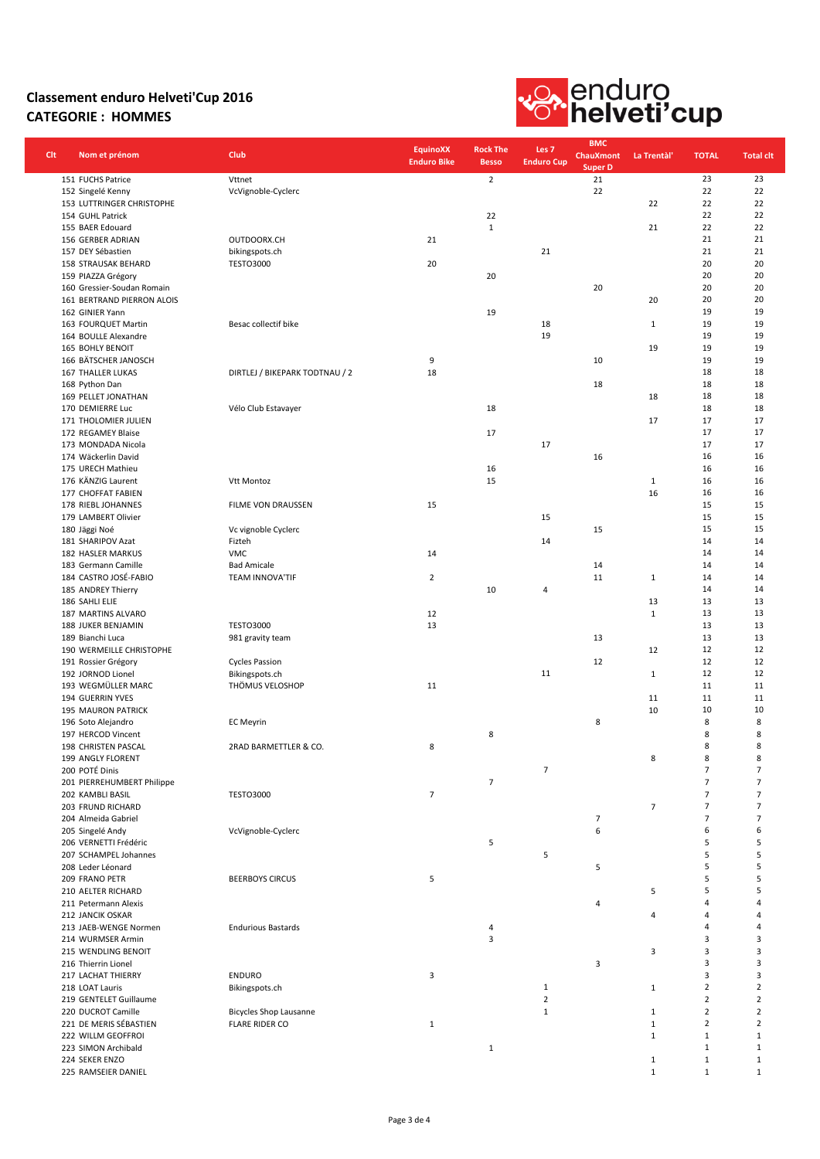

| <b>Clt</b> | Nom et prénom              | Club                           | <b>EquinoXX</b><br><b>Enduro Bike</b> | <b>Rock The</b><br><b>Besso</b> | Les <sub>7</sub><br><b>Enduro Cup</b> | <b>BMC</b><br><b>ChauXmont</b><br><b>Super D</b> | La Trentàl'    | <b>TOTAL</b>   | <b>Total clt</b> |
|------------|----------------------------|--------------------------------|---------------------------------------|---------------------------------|---------------------------------------|--------------------------------------------------|----------------|----------------|------------------|
|            | 151 FUCHS Patrice          | Vttnet                         |                                       | $\overline{2}$                  |                                       | 21                                               |                | 23             | 23               |
|            | 152 Singelé Kenny          | VcVignoble-Cyclerc             |                                       |                                 |                                       | 22                                               |                | 22             | 22               |
|            | 153 LUTTRINGER CHRISTOPHE  |                                |                                       |                                 |                                       |                                                  | 22             | 22             | 22               |
|            | 154 GUHL Patrick           |                                |                                       | 22                              |                                       |                                                  |                | 22             | 22               |
|            | 155 BAER Edouard           |                                |                                       | $\mathbf{1}$                    |                                       |                                                  | 21             | 22             | 22               |
|            | 156 GERBER ADRIAN          | OUTDOORX.CH                    | 21                                    |                                 |                                       |                                                  |                | 21             | 21               |
|            | 157 DEY Sébastien          | bikingspots.ch                 |                                       |                                 | 21                                    |                                                  |                | 21             | 21               |
|            | 158 STRAUSAK BEHARD        | <b>TESTO3000</b>               | 20                                    |                                 |                                       |                                                  |                | 20             | 20               |
|            | 159 PIAZZA Grégory         |                                |                                       | 20                              |                                       |                                                  |                | 20             | 20               |
|            | 160 Gressier-Soudan Romain |                                |                                       |                                 |                                       | 20                                               |                | 20             | 20               |
|            | 161 BERTRAND PIERRON ALOIS |                                |                                       |                                 |                                       |                                                  | 20             | 20             | 20               |
|            | 162 GINIER Yann            |                                |                                       | 19                              |                                       |                                                  |                | 19             | 19               |
|            | 163 FOURQUET Martin        | Besac collectif bike           |                                       |                                 | 18                                    |                                                  | $\mathbf{1}$   | 19             | 19               |
|            | 164 BOULLE Alexandre       |                                |                                       |                                 | 19                                    |                                                  |                | 19             | 19               |
|            | <b>165 BOHLY BENOIT</b>    |                                |                                       |                                 |                                       |                                                  | 19             | 19             | 19               |
|            | 166 BÄTSCHER JANOSCH       |                                | 9                                     |                                 |                                       | 10                                               |                | 19             | 19               |
|            | 167 THALLER LUKAS          | DIRTLEJ / BIKEPARK TODTNAU / 2 | 18                                    |                                 |                                       |                                                  |                | 18             | 18               |
|            | 168 Python Dan             |                                |                                       |                                 |                                       | 18                                               |                | 18             | 18               |
|            | 169 PELLET JONATHAN        |                                |                                       |                                 |                                       |                                                  | 18             | 18             | 18               |
|            | 170 DEMIERRE Luc           | Vélo Club Estavayer            |                                       | 18                              |                                       |                                                  |                | 18             | 18               |
|            | 171 THOLOMIER JULIEN       |                                |                                       |                                 |                                       |                                                  | 17             | 17             | 17               |
|            | 172 REGAMEY Blaise         |                                |                                       | 17                              |                                       |                                                  |                | 17             | 17               |
|            | 173 MONDADA Nicola         |                                |                                       |                                 | 17                                    |                                                  |                | 17             | 17               |
|            | 174 Wäckerlin David        |                                |                                       |                                 |                                       | 16                                               |                | 16             | 16               |
|            | 175 URECH Mathieu          |                                |                                       | 16                              |                                       |                                                  |                | 16             | 16               |
|            | 176 KÄNZIG Laurent         | Vtt Montoz                     |                                       | 15                              |                                       |                                                  | 1              | 16             | 16               |
|            | 177 CHOFFAT FABIEN         |                                |                                       |                                 |                                       |                                                  | 16             | 16             | 16               |
|            | 178 RIEBL JOHANNES         | FILME VON DRAUSSEN             | 15                                    |                                 |                                       |                                                  |                | 15             | 15               |
|            | 179 LAMBERT Olivier        |                                |                                       |                                 | 15                                    |                                                  |                | 15             | 15               |
|            | 180 Jäggi Noé              | Vc vignoble Cyclerc            |                                       |                                 |                                       | 15                                               |                | 15             | 15               |
|            | 181 SHARIPOV Azat          | Fizteh                         |                                       |                                 | 14                                    |                                                  |                | 14             | 14               |
|            | 182 HASLER MARKUS          | <b>VMC</b>                     | 14                                    |                                 |                                       |                                                  |                | 14             | 14               |
|            | 183 Germann Camille        | <b>Bad Amicale</b>             |                                       |                                 |                                       | 14                                               |                | 14             | 14               |
|            | 184 CASTRO JOSÉ-FABIO      | TEAM INNOVA'TIF                | $\overline{2}$                        |                                 |                                       | 11                                               | $1\,$          | 14             | 14               |
|            | 185 ANDREY Thierry         |                                |                                       | 10                              | 4                                     |                                                  |                | 14             | 14               |
|            | 186 SAHLI ELIE             |                                |                                       |                                 |                                       |                                                  | 13             | 13             | 13               |
|            | 187 MARTINS ALVARO         |                                | 12                                    |                                 |                                       |                                                  | $\mathbf{1}$   | 13             | 13               |
|            | 188 JUKER BENJAMIN         | <b>TESTO3000</b>               | 13                                    |                                 |                                       |                                                  |                | 13             | 13               |
|            | 189 Bianchi Luca           | 981 gravity team               |                                       |                                 |                                       | 13                                               |                | 13             | 13               |
|            | 190 WERMEILLE CHRISTOPHE   |                                |                                       |                                 |                                       |                                                  | 12             | 12             | 12               |
|            | 191 Rossier Grégory        | <b>Cycles Passion</b>          |                                       |                                 |                                       | 12                                               |                | 12             | 12               |
|            | 192 JORNOD Lionel          | Bikingspots.ch                 |                                       |                                 | 11                                    |                                                  | $\mathbf{1}$   | 12             | 12               |
|            | 193 WEGMÜLLER MARC         | THÖMUS VELOSHOP                | 11                                    |                                 |                                       |                                                  |                | 11             | 11               |
|            | 194 GUERRIN YVES           |                                |                                       |                                 |                                       |                                                  | 11             | 11             | 11               |
|            | 195 MAURON PATRICK         |                                |                                       |                                 |                                       |                                                  | 10             | 10             | 10               |
|            | 196 Soto Alejandro         | <b>EC Meyrin</b>               |                                       |                                 |                                       | 8                                                |                | 8              | 8                |
|            | 197 HERCOD Vincent         |                                |                                       | 8                               |                                       |                                                  |                | 8              | 8                |
|            | 198 CHRISTEN PASCAL        | 2RAD BARMETTLER & CO.          | 8                                     |                                 |                                       |                                                  |                | 8              | 8                |
|            | 199 ANGLY FLORENT          |                                |                                       |                                 |                                       |                                                  | 8              | 8              | 8                |
|            | 200 POTÉ Dinis             |                                |                                       |                                 | $\overline{7}$                        |                                                  |                | $\overline{7}$ | $\overline{7}$   |
|            | 201 PIERREHUMBERT Philippe |                                |                                       | $\overline{7}$                  |                                       |                                                  |                | $\overline{7}$ | 7                |
|            | 202 KAMBLI BASIL           | <b>TESTO3000</b>               | $\overline{7}$                        |                                 |                                       |                                                  |                | $\overline{7}$ | 7                |
|            | 203 FRUND RICHARD          |                                |                                       |                                 |                                       |                                                  | $\overline{7}$ | $\overline{7}$ | $\overline{7}$   |
|            | 204 Almeida Gabriel        |                                |                                       |                                 |                                       | $\overline{7}$                                   |                | $\overline{7}$ | 7                |
|            | 205 Singelé Andy           | VcVignoble-Cyclerc             |                                       |                                 |                                       | 6                                                |                | 6              | 6                |
|            | 206 VERNETTI Frédéric      |                                |                                       | 5                               |                                       |                                                  |                | 5              | 5                |
|            | 207 SCHAMPEL Johannes      |                                |                                       |                                 | 5                                     |                                                  |                | 5              | 5                |
|            | 208 Leder Léonard          |                                |                                       |                                 |                                       | 5                                                |                | 5              | 5                |
|            | 209 FRANO PETR             | <b>BEERBOYS CIRCUS</b>         | 5                                     |                                 |                                       |                                                  |                | 5              | 5                |
|            | 210 AELTER RICHARD         |                                |                                       |                                 |                                       |                                                  | 5              | 5              | 5                |
|            | 211 Petermann Alexis       |                                |                                       |                                 |                                       | 4                                                |                | $\overline{4}$ | 4                |
|            | 212 JANCIK OSKAR           |                                |                                       |                                 |                                       |                                                  | 4              | $\overline{4}$ | 4                |
|            | 213 JAEB-WENGE Normen      | <b>Endurious Bastards</b>      |                                       | 4                               |                                       |                                                  |                | 4              | 4                |
|            | 214 WURMSER Armin          |                                |                                       | $\mathsf 3$                     |                                       |                                                  |                | 3              | 3                |
|            | 215 WENDLING BENOIT        |                                |                                       |                                 |                                       |                                                  | 3              | 3              | 3                |
|            | 216 Thierrin Lionel        |                                |                                       |                                 |                                       | 3                                                |                | 3              | 3                |
|            | 217 LACHAT THIERRY         | <b>ENDURO</b>                  | $\overline{\mathbf{3}}$               |                                 |                                       |                                                  |                | 3              | 3                |
|            | 218 LOAT Lauris            | Bikingspots.ch                 |                                       |                                 | $\mathbf{1}$                          |                                                  | $\mathbf{1}$   | $\mathbf 2$    | $\overline{2}$   |
|            | 219 GENTELET Guillaume     |                                |                                       |                                 | $\mathbf 2$                           |                                                  |                | $\mathbf 2$    | $\mathbf 2$      |
|            | 220 DUCROT Camille         | <b>Bicycles Shop Lausanne</b>  |                                       |                                 | $\mathbf{1}$                          |                                                  | 1              | $\overline{2}$ | $\overline{2}$   |
|            | 221 DE MERIS SÉBASTIEN     | <b>FLARE RIDER CO</b>          | $\mathbf{1}$                          |                                 |                                       |                                                  | $\mathbf{1}$   | $\overline{2}$ | $\overline{2}$   |
|            | 222 WILLM GEOFFROI         |                                |                                       |                                 |                                       |                                                  | $\mathbf{1}$   | $\mathbf{1}$   | $\mathbf{1}$     |
|            | 223 SIMON Archibald        |                                |                                       | $\mathbf{1}$                    |                                       |                                                  |                | $\mathbf{1}$   | 1                |
|            | 224 SEKER ENZO             |                                |                                       |                                 |                                       |                                                  | $\mathbf{1}$   | $\mathbf 1$    | $\mathbf{1}$     |
|            | 225 RAMSEIER DANIEL        |                                |                                       |                                 |                                       |                                                  | $\mathbf{1}$   | $\mathbf 1$    | $\mathbf{1}$     |